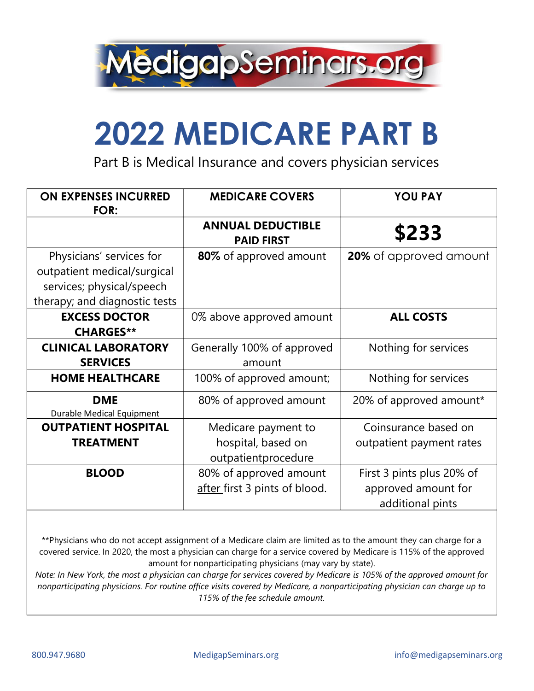

## **2022 MEDICARE PART B**

Part B is Medical Insurance and covers physician services

| <b>ON EXPENSES INCURRED</b><br>FOR:                                                                                   | <b>MEDICARE COVERS</b>                                           | <b>YOU PAY</b>                                                       |  |
|-----------------------------------------------------------------------------------------------------------------------|------------------------------------------------------------------|----------------------------------------------------------------------|--|
|                                                                                                                       | <b>ANNUAL DEDUCTIBLE</b><br><b>PAID FIRST</b>                    | \$233                                                                |  |
| Physicians' services for<br>outpatient medical/surgical<br>services; physical/speech<br>therapy; and diagnostic tests | 80% of approved amount                                           | 20% of approved amount                                               |  |
| <b>EXCESS DOCTOR</b><br><b>CHARGES**</b>                                                                              | 0% above approved amount                                         | <b>ALL COSTS</b>                                                     |  |
| <b>CLINICAL LABORATORY</b><br><b>SERVICES</b>                                                                         | Generally 100% of approved<br>amount                             | Nothing for services                                                 |  |
| <b>HOME HEALTHCARE</b>                                                                                                | 100% of approved amount;                                         | Nothing for services                                                 |  |
| <b>DME</b><br><b>Durable Medical Equipment</b>                                                                        | 80% of approved amount                                           | 20% of approved amount*                                              |  |
| <b>OUTPATIENT HOSPITAL</b><br><b>TREATMENT</b>                                                                        | Medicare payment to<br>hospital, based on<br>outpatientprocedure | Coinsurance based on<br>outpatient payment rates                     |  |
| <b>BLOOD</b>                                                                                                          | 80% of approved amount<br>after first 3 pints of blood.          | First 3 pints plus 20% of<br>approved amount for<br>additional pints |  |

\*\*Physicians who do not accept assignment of a Medicare claim are limited as to the amount they can charge for a covered service. In 2020, the most a physician can charge for a service covered by Medicare is 115% of the approved amount for nonparticipating physicians (may vary by state).

Note: In New York, the most a physician can charge for services covered by Medicare is 105% of the approved amount for *nonparticipating physicians. For routine office visits covered by Medicare, a nonparticipating physician can charge up to 115% of the fee schedule amount.*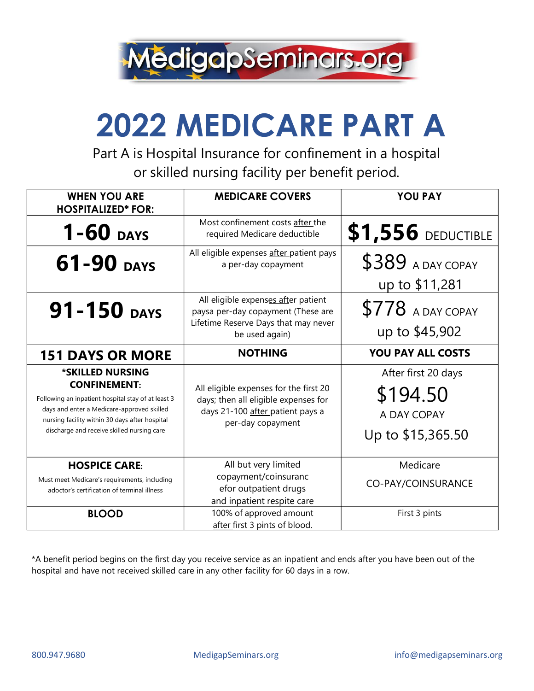

## **2022 MEDICARE PART A**

Part A is Hospital Insurance for confinement in a hospital or skilled nursing facility per benefit period.

| <b>WHEN YOU ARE</b><br><b>HOSPITALIZED* FOR:</b>                                                                                                                                              | <b>MEDICARE COVERS</b>                                                                                                              | <b>YOU PAY</b>                                 |  |  |
|-----------------------------------------------------------------------------------------------------------------------------------------------------------------------------------------------|-------------------------------------------------------------------------------------------------------------------------------------|------------------------------------------------|--|--|
| $1 - 60$ DAYS                                                                                                                                                                                 | Most confinement costs after the<br>required Medicare deductible                                                                    | <b>\$1,556 DEDUCTIBLE</b>                      |  |  |
| 61-90 DAYS                                                                                                                                                                                    | All eligible expenses after patient pays<br>a per-day copayment                                                                     | \$389 A DAY COPAY<br>up to \$11,281            |  |  |
| 91-150 DAYS                                                                                                                                                                                   | All eligible expenses after patient<br>paysa per-day copayment (These are<br>Lifetime Reserve Days that may never<br>be used again) | \$778 A DAY COPAY<br>up to \$45,902            |  |  |
| <b>151 DAYS OR MORE</b>                                                                                                                                                                       | <b>NOTHING</b>                                                                                                                      | <b>YOU PAY ALL COSTS</b>                       |  |  |
| *SKILLED NURSING<br><b>CONFINEMENT:</b><br>Following an inpatient hospital stay of at least 3<br>days and enter a Medicare-approved skilled<br>nursing facility within 30 days after hospital | All eligible expenses for the first 20<br>days; then all eligible expenses for<br>days 21-100 after patient pays a                  | After first 20 days<br>\$194.50<br>A DAY COPAY |  |  |
| discharge and receive skilled nursing care                                                                                                                                                    | per-day copayment                                                                                                                   | Up to \$15,365.50                              |  |  |
| <b>HOSPICE CARE:</b><br>Must meet Medicare's requirements, including<br>adoctor's certification of terminal illness                                                                           | All but very limited<br>copayment/coinsuranc<br>efor outpatient drugs<br>and inpatient respite care                                 | Medicare<br>CO-PAY/COINSURANCE                 |  |  |

\*A benefit period begins on the first day you receive service as an inpatient and ends after you have been out of the hospital and have not received skilled care in any other facility for 60 days in a row.